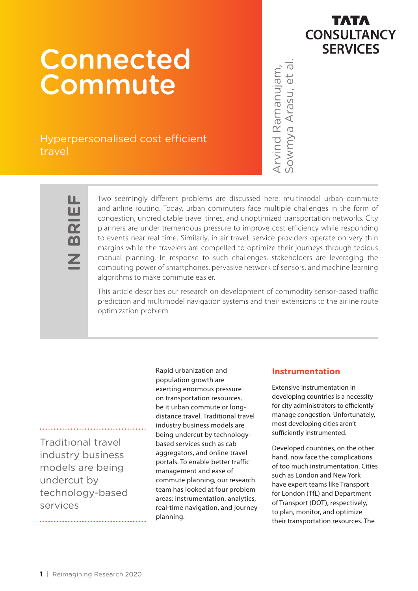# **Connected** Commute

Hyperpersonalised cost efficient travel



ய **IN BRIEF** ்ப  $\overline{\mathbf{R}}$ 

Two seemingly different problems are discussed here: multimodal urban commute and airline routing. Today, urban commuters face multiple challenges in the form of congestion, unpredictable travel times, and unoptimized transportation networks. City planners are under tremendous pressure to improve cost efficiency while responding to events near real time. Similarly, in air travel, service providers operate on very thin margins while the travelers are compelled to optimize their journeys through tedious manual planning. In response to such challenges, stakeholders are leveraging the computing power of smartphones, pervasive network of sensors, and machine learning algorithms to make commute easier. their transportation resources. The Arvind Ramanujam, Sowmya Arasu, et al.

This article describes our research on development of commodity sensor-based traffic prediction and multimodel navigation systems and their extensions to the airline route optimization problem.

Traditional travel industry business models are being undercut by technology-based services

Rapid urbanization and population growth are exerting enormous pressure on transportation resources, be it urban commute or longdistance travel. Traditional travel industry business models are being undercut by technologybased services such as cab aggregators, and online travel portals. To enable better traffic management and ease of commute planning, our research team has looked at four problem areas: instrumentation, analytics, real-time navigation, and journey planning.

#### **Instrumentation**

Extensive instrumentation in developing countries is a necessity for city administrators to efficiently manage congestion. Unfortunately, most developing cities aren't sufficiently instrumented.

Developed countries, on the other hand, now face the complications of too much instrumentation. Cities such as London and New York have expert teams like Transport for London (TfL) and Department of Transport (DOT), respectively, to plan, monitor, and optimize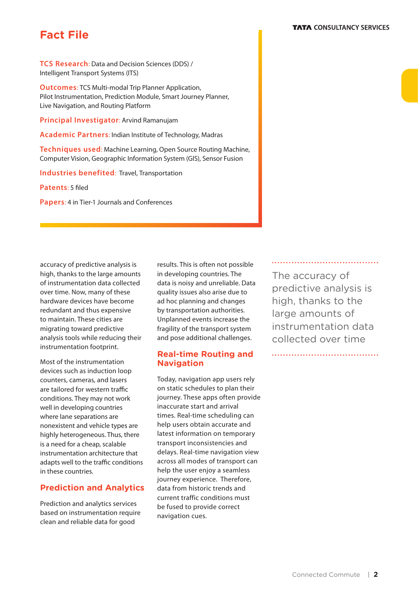## **Fact File**

**TCS Research**: Data and Decision Sciences (DDS) / Intelligent Transport Systems (ITS)

**Outcomes**: TCS Multi-modal Trip Planner Application, Pilot Instrumentation, Prediction Module, Smart Journey Planner, Live Navigation, and Routing Platform

**Principal Investigator**: Arvind Ramanujam

**Academic Partners**: Indian Institute of Technology, Madras

**Techniques used**: Machine Learning, Open Source Routing Machine, Computer Vision, Geographic Information System (GIS), Sensor Fusion

**Industries benefited**: Travel, Transportation

**Patents**: 5 filed

**Papers**: 4 in Tier-1 Journals and Conferences

accuracy of predictive analysis is high, thanks to the large amounts of instrumentation data collected over time. Now, many of these hardware devices have become redundant and thus expensive to maintain. These cities are migrating toward predictive analysis tools while reducing their instrumentation footprint.

Most of the instrumentation devices such as induction loop counters, cameras, and lasers are tailored for western traffic conditions. They may not work well in developing countries where lane separations are nonexistent and vehicle types are highly heterogeneous. Thus, there is a need for a cheap, scalable instrumentation architecture that adapts well to the traffic conditions in these countries.

## **Prediction and Analytics**

Prediction and analytics services based on instrumentation require clean and reliable data for good

results. This is often not possible in developing countries. The data is noisy and unreliable. Data quality issues also arise due to ad hoc planning and changes by transportation authorities. Unplanned events increase the fragility of the transport system and pose additional challenges.

#### **Real-time Routing and Navigation**

Today, navigation app users rely on static schedules to plan their journey. These apps often provide inaccurate start and arrival times. Real-time scheduling can help users obtain accurate and latest information on temporary transport inconsistencies and delays. Real-time navigation view across all modes of transport can help the user enjoy a seamless journey experience. Therefore, data from historic trends and current traffic conditions must be fused to provide correct navigation cues.

The accuracy of predictive analysis is high, thanks to the large amounts of instrumentation data collected over time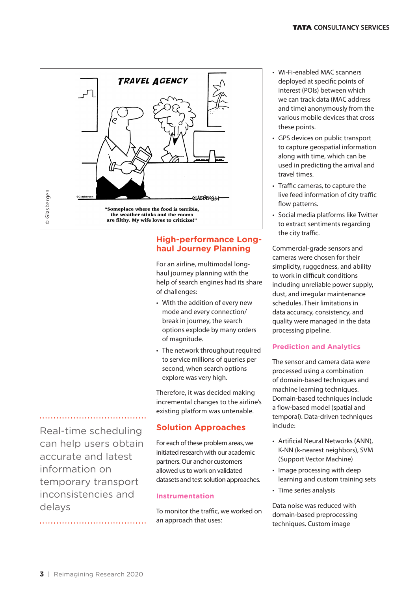

## **High-performance Longhaul Journey Planning**

For an airline, multimodal longhaul journey planning with the help of search engines had its share of challenges:

- With the addition of every new mode and every connection/ break in journey, the search options explode by many orders of magnitude.
- The network throughput required to service millions of queries per second, when search options explore was very high.

Therefore, it was decided making incremental changes to the airline's existing platform was untenable.

## **Solution Approaches**

For each of these problem areas, we initiated research with our academic partners. Our anchor customers allowed us to work on validated datasets and test solution approaches.

## **Instrumentation**

To monitor the traffic, we worked on an approach that uses:

- Wi-Fi-enabled MAC scanners deployed at specific points of interest (POIs) between which we can track data (MAC address and time) anonymously from the various mobile devices that cross these points.
- GPS devices on public transport to capture geospatial information along with time, which can be used in predicting the arrival and travel times.
- Traffic cameras, to capture the live feed information of city traffic flow patterns.
- Social media platforms like Twitter to extract sentiments regarding the city traffic.

Commercial-grade sensors and cameras were chosen for their simplicity, ruggedness, and ability to work in difficult conditions including unreliable power supply, dust, and irregular maintenance schedules. Their limitations in data accuracy, consistency, and quality were managed in the data processing pipeline.

## **Prediction and Analytics**

The sensor and camera data were processed using a combination of domain-based techniques and machine learning techniques. Domain-based techniques include a flow-based model (spatial and temporal). Data-driven techniques include:

- Artificial Neural Networks (ANN), K-NN (k-nearest neighbors), SVM (Support Vector Machine)
- Image processing with deep learning and custom training sets
- Time series analysis

Data noise was reduced with domain-based preprocessing techniques. Custom image

edual definition<br>Real-ti<br>Can he<br>accura<br>inform<br>tempo<br>delays Real-time scheduling can help users obtain accurate and latest information on temporary transport inconsistencies and delays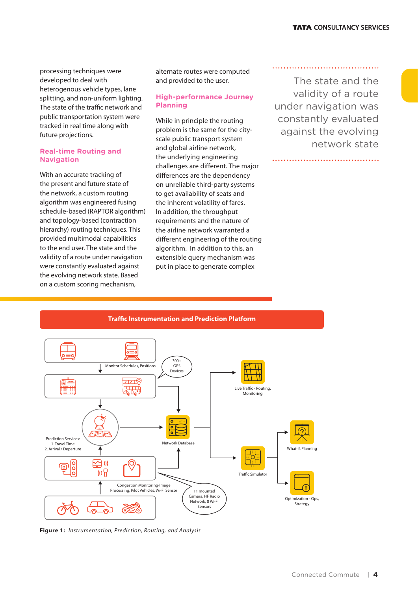processing techniques were developed to deal with heterogenous vehicle types, lane splitting, and non-uniform lighting. The state of the traffic network and public transportation system were tracked in real time along with future projections.

#### **Real-time Routing and Navigation**

With an accurate tracking of the present and future state of the network, a custom routing algorithm was engineered fusing schedule-based (RAPTOR algorithm) and topology-based (contraction hierarchy) routing techniques. This provided multimodal capabilities to the end user. The state and the validity of a route under navigation were constantly evaluated against the evolving network state. Based on a custom scoring mechanism,

alternate routes were computed and provided to the user.

#### **High-performance Journey Planning**

While in principle the routing problem is the same for the cityscale public transport system and global airline network, the underlying engineering challenges are different. The major differences are the dependency on unreliable third-party systems to get availability of seats and the inherent volatility of fares. In addition, the throughput requirements and the nature of the airline network warranted a different engineering of the routing algorithm. In addition to this, an extensible query mechanism was put in place to generate complex

The state and the validity of a route under navigation was constantly evaluated against the evolving network state

**Traffic Instrumentation and Prediction Platform** 300+ Monitor Schedules, Positions GPS Devices  $\overline{\text{crit}}$ Live Traffic - Routing, .<br>پيدي<br>نهري **Monitoring 786** Prediction Services: Network Database 1. Travel Time 2. Arrival / Departure What-if, Planning  $\overline{1}$ 内。  $\circledcirc$ ௫ Ċ  $\overline{\mathbb{H}}$   $\overline{\mathbb{H}}$ Tra�c Simulator Congestion Monitoring-Image Processing, Pilot Vehicles, Wi-Fi Sensor 11 mounted Camera, HF Radio Optimization - Ops, Network, 8 Wi-Fi **Strategy** .<br>Sensors

**Figure 1:** *Instrumentation, Prediction, Routing, and Analysis*

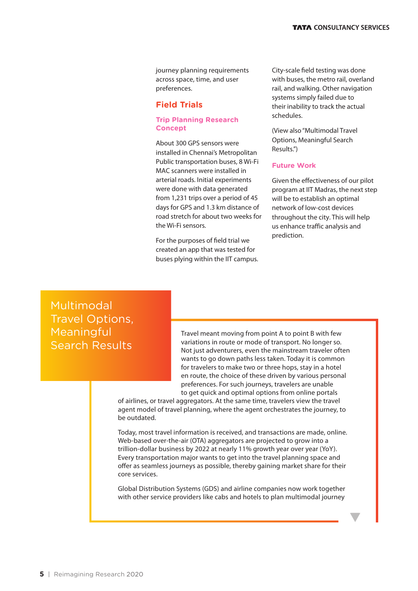journey planning requirements across space, time, and user preferences.

#### **Field Trials**

#### **Trip Planning Research Concept**

About 300 GPS sensors were installed in Chennai's Metropolitan Public transportation buses, 8 Wi-Fi MAC scanners were installed in arterial roads. Initial experiments were done with data generated from 1,231 trips over a period of 45 days for GPS and 1.3 km distance of road stretch for about two weeks for the Wi-Fi sensors.

For the purposes of field trial we created an app that was tested for buses plying within the IIT campus. City-scale field testing was done with buses, the metro rail, overland rail, and walking. Other navigation systems simply failed due to their inability to track the actual schedules.

(View also "Multimodal Travel Options, Meaningful Search Results.")

#### **Future Work**

Given the effectiveness of our pilot program at IIT Madras, the next step will be to establish an optimal network of low-cost devices throughout the city. This will help us enhance traffic analysis and prediction.

Multimodal Travel Options, Meaningful Search Results

Travel meant moving from point A to point B with few variations in route or mode of transport. No longer so. Not just adventurers, even the mainstream traveler often wants to go down paths less taken. Today it is common for travelers to make two or three hops, stay in a hotel en route, the choice of these driven by various personal preferences. For such journeys, travelers are unable to get quick and optimal options from online portals

of airlines, or travel aggregators. At the same time, travelers view the travel agent model of travel planning, where the agent orchestrates the journey, to be outdated.

Today, most travel information is received, and transactions are made, online. Web-based over-the-air (OTA) aggregators are projected to grow into a trillion-dollar business by 2022 at nearly 11% growth year over year (YoY). Every transportation major wants to get into the travel planning space and offer as seamless journeys as possible, thereby gaining market share for their core services.

Global Distribution Systems (GDS) and airline companies now work together with other service providers like cabs and hotels to plan multimodal journey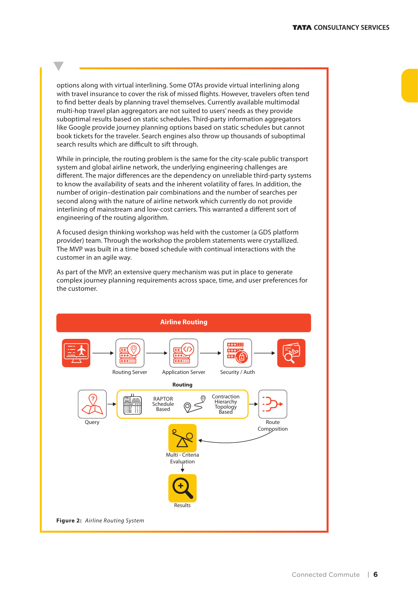options along with virtual interlining. Some OTAs provide virtual interlining along with travel insurance to cover the risk of missed flights. However, travelers often tend to find better deals by planning travel themselves. Currently available multimodal multi-hop travel plan aggregators are not suited to users' needs as they provide suboptimal results based on static schedules. Third-party information aggregators like Google provide journey planning options based on static schedules but cannot book tickets for the traveler. Search engines also throw up thousands of suboptimal search results which are difficult to sift through.

While in principle, the routing problem is the same for the city-scale public transport system and global airline network, the underlying engineering challenges are different. The major differences are the dependency on unreliable third-party systems to know the availability of seats and the inherent volatility of fares. In addition, the number of origin–destination pair combinations and the number of searches per second along with the nature of airline network which currently do not provide interlining of mainstream and low-cost carriers. This warranted a different sort of engineering of the routing algorithm.

A focused design thinking workshop was held with the customer (a GDS platform provider) team. Through the workshop the problem statements were crystallized. The MVP was built in a time boxed schedule with continual interactions with the customer in an agile way.

As part of the MVP, an extensive query mechanism was put in place to generate complex journey planning requirements across space, time, and user preferences for the customer.

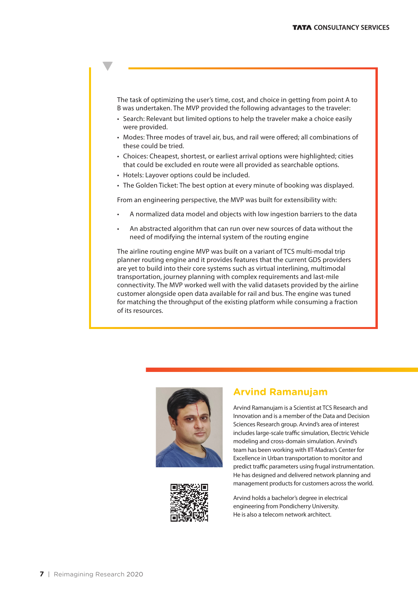The task of optimizing the user's time, cost, and choice in getting from point A to B was undertaken. The MVP provided the following advantages to the traveler:

- Search: Relevant but limited options to help the traveler make a choice easily were provided.
- Modes: Three modes of travel air, bus, and rail were offered; all combinations of these could be tried.
- Choices: Cheapest, shortest, or earliest arrival options were highlighted; cities that could be excluded en route were all provided as searchable options.
- Hotels: Layover options could be included.
- The Golden Ticket: The best option at every minute of booking was displayed.

From an engineering perspective, the MVP was built for extensibility with:

- A normalized data model and objects with low ingestion barriers to the data
- An abstracted algorithm that can run over new sources of data without the need of modifying the internal system of the routing engine

The airline routing engine MVP was built on a variant of TCS multi-modal trip planner routing engine and it provides features that the current GDS providers are yet to build into their core systems such as virtual interlining, multimodal transportation, journey planning with complex requirements and last-mile connectivity. The MVP worked well with the valid datasets provided by the airline customer alongside open data available for rail and bus. The engine was tuned for matching the throughput of the existing platform while consuming a fraction of its resources.





## **Arvind Ramanujam**

Arvind Ramanujam is a Scientist at TCS Research and Innovation and is a member of the Data and Decision Sciences Research group. Arvind's area of interest includes large-scale traffic simulation, Electric Vehicle modeling and cross-domain simulation. Arvind's team has been working with IIT-Madras's Center for Excellence in Urban transportation to monitor and predict traffic parameters using frugal instrumentation. He has designed and delivered network planning and management products for customers across the world.

Arvind holds a bachelor's degree in electrical engineering from Pondicherry University. He is also a telecom network architect.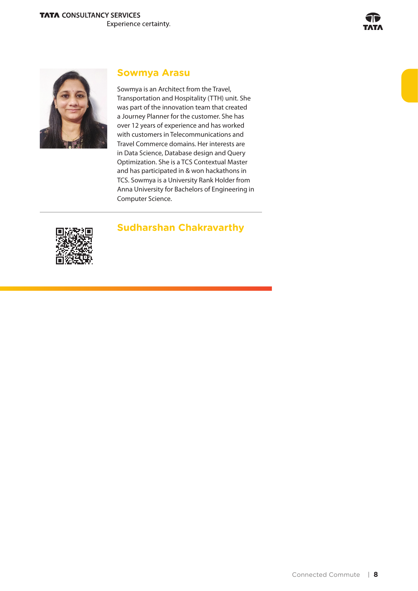

## **Sowmya Arasu**

Sowmya is an Architect from the Travel, Transportation and Hospitality (TTH) unit. She was part of the innovation team that created a Journey Planner for the customer. She has over 12 years of experience and has worked with customers in Telecommunications and Travel Commerce domains. Her interests are in Data Science, Database design and Query Optimization. She is a TCS Contextual Master and has participated in & won hackathons in TCS. Sowmya is a University Rank Holder from Anna University for Bachelors of Engineering in Computer Science.

## **Sudharshan Chakravarthy**